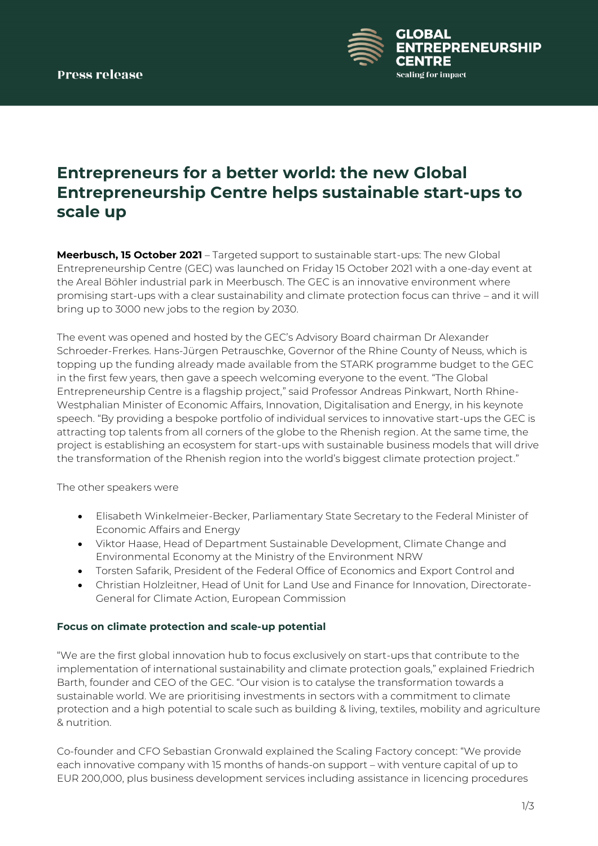

# **Entrepreneurs for a better world: the new Global Entrepreneurship Centre helps sustainable start-ups to scale up**

**Meerbusch, 15 October 2021** – Targeted support to sustainable start-ups: The new Global Entrepreneurship Centre (GEC) was launched on Friday 15 October 2021 with a one-day event at the Areal Böhler industrial park in Meerbusch. The GEC is an innovative environment where promising start-ups with a clear sustainability and climate protection focus can thrive – and it will bring up to 3000 new jobs to the region by 2030.

The event was opened and hosted by the GEC's Advisory Board chairman Dr Alexander Schroeder-Frerkes. Hans-Jürgen Petrauschke, Governor of the Rhine County of Neuss, which is topping up the funding already made available from the STARK programme budget to the GEC in the first few years, then gave a speech welcoming everyone to the event. "The Global Entrepreneurship Centre is a flagship project," said Professor Andreas Pinkwart, North Rhine-Westphalian Minister of Economic Affairs, Innovation, Digitalisation and Energy, in his keynote speech. "By providing a bespoke portfolio of individual services to innovative start-ups the GEC is attracting top talents from all corners of the globe to the Rhenish region. At the same time, the project is establishing an ecosystem for start-ups with sustainable business models that will drive the transformation of the Rhenish region into the world's biggest climate protection project."

The other speakers were

- Elisabeth Winkelmeier-Becker, Parliamentary State Secretary to the Federal Minister of Economic Affairs and Energy
- Viktor Haase, Head of Department Sustainable Development, Climate Change and Environmental Economy at the Ministry of the Environment NRW
- Torsten Safarik, President of the Federal Office of Economics and Export Control and
- Christian Holzleitner, Head of Unit for Land Use and Finance for Innovation, Directorate-General for Climate Action, European Commission

## **Focus on climate protection and scale-up potential**

"We are the first global innovation hub to focus exclusively on start-ups that contribute to the implementation of international sustainability and climate protection goals," explained Friedrich Barth, founder and CEO of the GEC. "Our vision is to catalyse the transformation towards a sustainable world. We are prioritising investments in sectors with a commitment to climate protection and a high potential to scale such as building & living, textiles, mobility and agriculture & nutrition.

Co-founder and CFO Sebastian Gronwald explained the Scaling Factory concept: "We provide each innovative company with 15 months of hands-on support – with venture capital of up to EUR 200,000, plus business development services including assistance in licencing procedures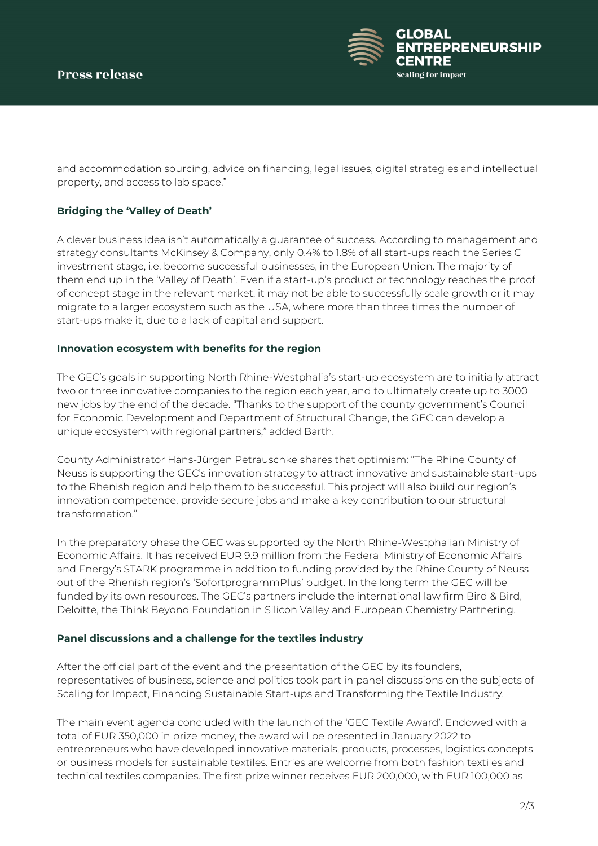

and accommodation sourcing, advice on financing, legal issues, digital strategies and intellectual property, and access to lab space."

# **Bridging the 'Valley of Death'**

A clever business idea isn't automatically a guarantee of success. According to management and strategy consultants McKinsey & Company, only 0.4% to 1.8% of all start-ups reach the Series C investment stage, i.e. become successful businesses, in the European Union. The majority of them end up in the 'Valley of Death'. Even if a start-up's product or technology reaches the proof of concept stage in the relevant market, it may not be able to successfully scale growth or it may migrate to a larger ecosystem such as the USA, where more than three times the number of start-ups make it, due to a lack of capital and support.

### **Innovation ecosystem with benefits for the region**

The GEC's goals in supporting North Rhine-Westphalia's start-up ecosystem are to initially attract two or three innovative companies to the region each year, and to ultimately create up to 3000 new jobs by the end of the decade. "Thanks to the support of the county government's Council for Economic Development and Department of Structural Change, the GEC can develop a unique ecosystem with regional partners," added Barth.

County Administrator Hans-Jürgen Petrauschke shares that optimism: "The Rhine County of Neuss is supporting the GEC's innovation strategy to attract innovative and sustainable start-ups to the Rhenish region and help them to be successful. This project will also build our region's innovation competence, provide secure jobs and make a key contribution to our structural transformation."

In the preparatory phase the GEC was supported by the North Rhine-Westphalian Ministry of Economic Affairs. It has received EUR 9.9 million from the Federal Ministry of Economic Affairs and Energy's STARK programme in addition to funding provided by the Rhine County of Neuss out of the Rhenish region's 'SofortprogrammPlus' budget. In the long term the GEC will be funded by its own resources. The GEC's partners include the international law firm Bird & Bird, Deloitte, the Think Beyond Foundation in Silicon Valley and European Chemistry Partnering.

#### **Panel discussions and a challenge for the textiles industry**

After the official part of the event and the presentation of the GEC by its founders, representatives of business, science and politics took part in panel discussions on the subjects of Scaling for Impact, Financing Sustainable Start-ups and Transforming the Textile Industry.

The main event agenda concluded with the launch of the 'GEC Textile Award'. Endowed with a total of EUR 350,000 in prize money, the award will be presented in January 2022 to entrepreneurs who have developed innovative materials, products, processes, logistics concepts or business models for sustainable textiles. Entries are welcome from both fashion textiles and technical textiles companies. The first prize winner receives EUR 200,000, with EUR 100,000 as